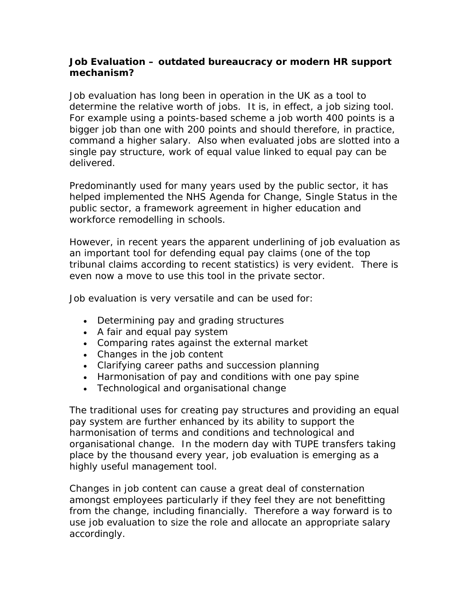## **Job Evaluation – outdated bureaucracy or modern HR support mechanism?**

Job evaluation has long been in operation in the UK as a tool to determine the relative worth of jobs. It is, in effect, a job sizing tool. For example using a points-based scheme a job worth 400 points is a bigger job than one with 200 points and should therefore, in practice, command a higher salary. Also when evaluated jobs are slotted into a single pay structure, work of equal value linked to equal pay can be delivered.

Predominantly used for many years used by the public sector, it has helped implemented the NHS Agenda for Change, Single Status in the public sector, a framework agreement in higher education and workforce remodelling in schools.

However, in recent years the apparent underlining of job evaluation as an important tool for defending equal pay claims (one of the top tribunal claims according to recent statistics) is very evident. There is even now a move to use this tool in the private sector.

Job evaluation is very versatile and can be used for:

- Determining pay and grading structures
- A fair and equal pay system
- Comparing rates against the external market
- Changes in the job content
- Clarifying career paths and succession planning
- Harmonisation of pay and conditions with one pay spine
- Technological and organisational change

The traditional uses for creating pay structures and providing an equal pay system are further enhanced by its ability to support the harmonisation of terms and conditions and technological and organisational change. In the modern day with TUPE transfers taking place by the thousand every year, job evaluation is emerging as a highly useful management tool.

Changes in job content can cause a great deal of consternation amongst employees particularly if they feel they are not benefitting from the change, including financially. Therefore a way forward is to use job evaluation to size the role and allocate an appropriate salary accordingly.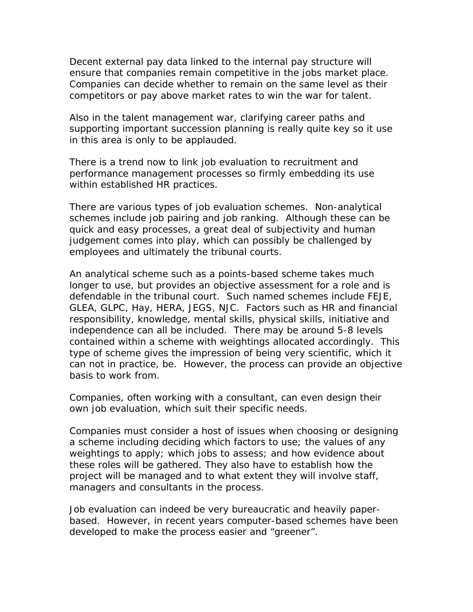Decent external pay data linked to the internal pay structure will ensure that companies remain competitive in the jobs market place. Companies can decide whether to remain on the same level as their competitors or pay above market rates to win the war for talent.

Also in the talent management war, clarifying career paths and supporting important succession planning is really quite key so it use in this area is only to be applauded.

There is a trend now to link job evaluation to recruitment and performance management processes so firmly embedding its use within established HR practices.

There are various types of job evaluation schemes. Non-analytical schemes include job pairing and job ranking. Although these can be quick and easy processes, a great deal of subjectivity and human judgement comes into play, which can possibly be challenged by employees and ultimately the tribunal courts.

An analytical scheme such as a points-based scheme takes much longer to use, but provides an objective assessment for a role and is defendable in the tribunal court. Such named schemes include FEJE, GLEA, GLPC, Hay, HERA, JEGS, NJC. Factors such as HR and financial responsibility, knowledge, mental skills, physical skills, initiative and independence can all be included. There may be around 5-8 levels contained within a scheme with weightings allocated accordingly. This type of scheme gives the impression of being very scientific, which it can not in practice, be. However, the process can provide an objective basis to work from.

Companies, often working with a consultant, can even design their own job evaluation, which suit their specific needs.

Companies must consider a host of issues when choosing or designing a scheme including deciding which factors to use; the values of any weightings to apply; which jobs to assess; and how evidence about these roles will be gathered. They also have to establish how the project will be managed and to what extent they will involve staff, managers and consultants in the process.

Job evaluation can indeed be very bureaucratic and heavily paperbased. However, in recent years computer-based schemes have been developed to make the process easier and "greener".